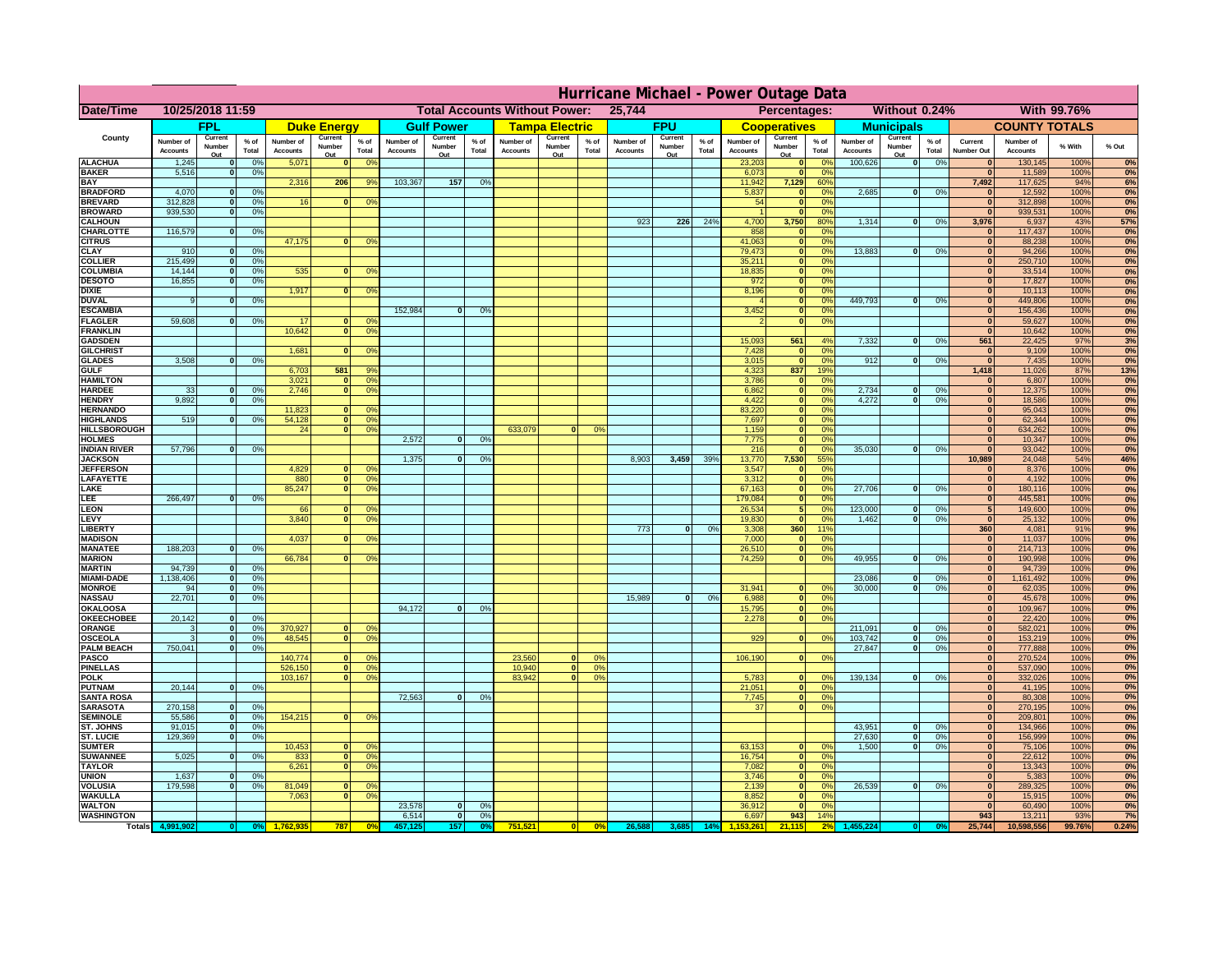|                                      | Hurricane Michael - Power Outage Data |                             |                 |                              |                                                |                                        |                              |                          |                |                              |                                              |                  |                       |                          |                 |                              |                                  |                                  |                              |                          |                 |                              |                              |              |           |
|--------------------------------------|---------------------------------------|-----------------------------|-----------------|------------------------------|------------------------------------------------|----------------------------------------|------------------------------|--------------------------|----------------|------------------------------|----------------------------------------------|------------------|-----------------------|--------------------------|-----------------|------------------------------|----------------------------------|----------------------------------|------------------------------|--------------------------|-----------------|------------------------------|------------------------------|--------------|-----------|
| Date/Time                            | 10/25/2018 11:59                      |                             |                 |                              | <b>Total Accounts Without Power:</b><br>25,744 |                                        |                              |                          |                |                              | Without 0.24%<br>With 99.76%<br>Percentages: |                  |                       |                          |                 |                              |                                  |                                  |                              |                          |                 |                              |                              |              |           |
|                                      |                                       | FPL                         |                 |                              | <b>Duke Energy</b>                             |                                        |                              | <b>Gulf Power</b>        |                |                              | <b>Tampa Electric</b>                        |                  |                       | <b>FPU</b>               |                 |                              | <b>Cooperatives</b>              |                                  |                              | <b>Municipals</b>        |                 |                              | <b>COUNTY TOTALS</b>         |              |           |
| County                               | Number of<br><b>Accounts</b>          | Current<br>Number<br>Out    | $%$ of<br>Total | Number of<br><b>Accounts</b> | Current<br>Number<br>Out                       | $%$ of<br>Total                        | Number of<br><b>Accounts</b> | Current<br>Number<br>Out | % of<br>Total  | Number of<br><b>Accounts</b> | Current<br>Number<br>Out                     | $%$ of<br>Total  | Number of<br>Accounts | Current<br>Number<br>Out | $%$ of<br>Total | Number of<br><b>Accounts</b> | Current<br>Number<br>Out         | $%$ of<br>Total                  | Number of<br><b>Accounts</b> | Current<br>Number<br>Out | $%$ of<br>Total | Current<br><b>Number Out</b> | Number of<br><b>Accounts</b> | % With       | % Out     |
| <b>ALACHUA</b>                       | 1,245                                 | $\mathbf{0}$                | 0%              | 5,071                        | $\bf{0}$                                       | 0 <sup>9</sup>                         |                              |                          |                |                              |                                              |                  |                       |                          |                 | 23,203                       | 0                                | 0 <sup>9</sup>                   | 100,626                      | 0                        | 0%              | $\bf{0}$                     | 130,145                      | 100%         | 0%        |
| <b>BAKER</b>                         | 5,516                                 | 0                           | 0%              |                              |                                                |                                        |                              |                          |                |                              |                                              |                  |                       |                          |                 | 6,073                        | 0                                | 0%                               |                              |                          |                 | $\overline{0}$               | 11,589                       | 100%         | 0%        |
| <b>BAY</b><br><b>BRADFORD</b>        | 4,070                                 | $\mathbf{0}$                | 0%              | 2,316                        | 206                                            | 9%                                     | 103,367                      | 157                      | 0%             |                              |                                              |                  |                       |                          |                 | 11,942<br>5,837              | 7,129<br> 0                      | 60%<br>0%                        | 2,685                        | 0                        | 0%              | 7,492<br>$\bf{0}$            | 117,625<br>12,592            | 94%<br>100%  | 6%<br>0%  |
| <b>BREVARD</b>                       | 312,828                               | 0                           | 0%              | 16                           | 0                                              | 0 <sup>o</sup>                         |                              |                          |                |                              |                                              |                  |                       |                          |                 | 54                           | 0                                | 0%                               |                              |                          |                 | 0                            | 312,898                      | 100%         | 0%        |
| <b>BROWARD</b>                       | 939.530                               | 0                           | 0%              |                              |                                                |                                        |                              |                          |                |                              |                                              |                  |                       |                          |                 |                              | 0                                | 0%                               |                              |                          |                 | $\bf{0}$                     | 939,531                      | 100%         | 0%        |
| <b>CALHOUN</b><br>CHARLOTTE          | 116,579                               | 0                           | 0%              |                              |                                                |                                        |                              |                          |                |                              |                                              |                  | 923                   | 226                      | 24%             | 4,700<br>858                 | 3,750<br> 0                      | 80%<br>0 <sup>9</sup>            | 1,314                        | 0                        | 0%              | 3,976                        | 6,937<br>117,437             | 43%<br>100%  | 57%<br>0% |
| <b>CITRUS</b>                        |                                       |                             |                 | 47,175                       | $\mathbf{0}$                                   | 0 <sup>o</sup>                         |                              |                          |                |                              |                                              |                  |                       |                          |                 | 41,063                       | 0                                | 0 <sup>9</sup>                   |                              |                          |                 | $\bf{0}$                     | 88,238                       | 100%         | 0%        |
| <b>CLAY</b>                          | 910                                   | $\mathbf{0}$                | 0%              |                              |                                                |                                        |                              |                          |                |                              |                                              |                  |                       |                          |                 | 79,473                       | 0                                | 0 <sup>9</sup>                   | 13,883                       | $\mathbf{0}$             | 0%              | $\bf{0}$                     | 94,266                       | 100%         | 0%        |
| <b>COLLIER</b>                       | 215,499                               | $\mathbf{0}$                | 0 <sup>9</sup>  |                              |                                                |                                        |                              |                          |                |                              |                                              |                  |                       |                          |                 | 35,211                       | 0                                | 0%                               |                              |                          |                 | $\bf{0}$                     | 250,710                      | 100%         | 0%        |
| <b>COLUMBIA</b><br><b>DESOTO</b>     | 14,144<br>16,855                      | $\mathbf 0$<br>$\mathbf{0}$ | 0%<br>0%        | 535                          | $\mathbf{0}$                                   | 0 <sup>9</sup>                         |                              |                          |                |                              |                                              |                  |                       |                          |                 | 18,835<br>972                | 0 <br> 0                         | 0%<br>0%                         |                              |                          |                 | $\bf{0}$<br>$\bf{0}$         | 33,514<br>17,827             | 100%<br>100% | 0%<br>0%  |
| <b>DIXIE</b>                         |                                       |                             |                 | 1,917                        | $\Omega$                                       | 0 <sup>9</sup>                         |                              |                          |                |                              |                                              |                  |                       |                          |                 | 8,196                        | 0                                | 0%                               |                              |                          |                 | $\Omega$                     | 10,113                       | 100%         | 0%        |
| <b>DUVAL</b>                         | 9                                     | $\Omega$                    | 0%              |                              |                                                |                                        |                              |                          |                |                              |                                              |                  |                       |                          |                 |                              | 0                                | 0%                               | 449.793                      | $\overline{\mathbf{0}}$  | 0%              | $\Omega$                     | 449,806                      | 100%         | 0%        |
| <b>ESCAMBIA</b>                      | 59,608                                |                             |                 | 17                           |                                                |                                        | 152,984                      | $\mathbf{0}$             | 0 <sup>9</sup> |                              |                                              |                  |                       |                          |                 | 3,452                        | 0                                | 0%<br>0%                         |                              |                          |                 | $\Omega$                     | 156,436                      | 100%         | 0%        |
| <b>FLAGLER</b><br><b>FRANKLIN</b>    |                                       | $\overline{0}$              | 0%              | 10,642                       | $\bf{0}$<br> 0                                 | 0 <sup>o</sup><br>0 <sup>9</sup>       |                              |                          |                |                              |                                              |                  |                       |                          |                 |                              | 0                                |                                  |                              |                          |                 | $\mathbf{0}$<br>$\Omega$     | 59,627<br>10,642             | 100%<br>100% | 0%<br>0%  |
| <b>GADSDEN</b>                       |                                       |                             |                 |                              |                                                |                                        |                              |                          |                |                              |                                              |                  |                       |                          |                 | 15,093                       | 561                              | 4%                               | 7,332                        | 0                        | 0%              | 561                          | 22,425                       | 97%          | 3%        |
| <b>GILCHRIST</b>                     |                                       |                             |                 | 1,681                        | $\Omega$                                       | 0 <sup>9</sup>                         |                              |                          |                |                              |                                              |                  |                       |                          |                 | 7,428                        | 0                                | 0%                               |                              |                          |                 | $\overline{\mathbf{0}}$      | 9,109                        | 100%         | 0%        |
| <b>GLADES</b><br><b>GULF</b>         | 3,508                                 | 0                           | 0%              |                              | 581                                            | 9%                                     |                              |                          |                |                              |                                              |                  |                       |                          |                 | 3,015                        | 0 <br>837                        | 0%<br>19%                        | 912                          | $\overline{0}$           | 0%              | 0 <br>1,418                  | 7,435                        | 100%<br>87%  | 0%        |
| <b>HAMILTON</b>                      |                                       |                             |                 | 6,703<br>3,021               | $\overline{0}$                                 | 0 <sup>9</sup>                         |                              |                          |                |                              |                                              |                  |                       |                          |                 | 4,323<br>3,786               | 0                                | 0%                               |                              |                          |                 | 0                            | 11,026<br>6,807              | 100%         | 13%<br>0% |
| <b>HARDEE</b>                        | 33                                    | $\overline{0}$              | 0%              | 2.746                        |                                                | 0 <br>0 <sup>9</sup>                   |                              |                          |                |                              |                                              |                  |                       |                          |                 | 6.862                        | $\overline{0}$                   | 0%                               | 2.734                        | $\mathbf{0}$             | 0%              | 0                            | 12,375                       | 100%         | 0%        |
| <b>HENDRY</b>                        | 9.892                                 | $\overline{0}$              | 0%              |                              |                                                |                                        |                              |                          |                |                              |                                              |                  |                       |                          |                 | 4.422                        | 0                                | 0%                               | 4.272                        | $\overline{0}$           | 0%              | 0                            | 18,586                       | 100%         | 0%        |
| <b>HERNANDO</b><br><b>HIGHLANDS</b>  | 519                                   | 0                           | 0 <sup>9</sup>  | 11,823<br>54,128             | $\Omega$<br> 0                                 | 0 <sup>o</sup><br>0 <sup>9</sup>       |                              |                          |                |                              |                                              |                  |                       |                          |                 | 83,220<br>7,697              | $\overline{0}$<br>$\overline{0}$ | 0%<br>0%                         |                              |                          |                 | 0 <br> 0                     | 95,043<br>62,344             | 100%<br>100% | 0%<br>0%  |
| <b>HILLSBOROUGH</b>                  |                                       |                             |                 | 24                           | $\overline{0}$                                 | 0 <sup>9</sup>                         |                              |                          |                | 633,079                      |                                              | 0%               |                       |                          |                 | 1,159                        | $\overline{0}$                   | 0%                               |                              |                          |                 | 0                            | 634,262                      | 100%         | 0%        |
| <b>HOLMES</b>                        |                                       |                             |                 |                              |                                                |                                        | 2.572                        | $\Omega$                 | 0%             |                              |                                              |                  |                       |                          |                 | 7,775                        | $\overline{0}$                   | 0%                               |                              |                          |                 | 0                            | 10,347                       | 100%         | 0%        |
| <b>INDIAN RIVER</b>                  | 57,796                                | 0                           | 0%              |                              |                                                |                                        |                              |                          |                |                              |                                              |                  |                       |                          |                 | 216                          | $\overline{0}$                   | 0%                               | 35,030                       | $\mathbf{0}$             | 0%              | 0                            | 93,042                       | 100%         | 0%        |
| <b>JACKSON</b><br><b>JEFFERSOI</b>   |                                       |                             |                 | 4,829                        | $\Omega$                                       | $^{\circ}$                             | 1,375                        | $\mathbf{0}$             | 0%             |                              |                                              |                  | 8,903                 | 3,459                    | 39%             | 13,770<br>3,547              | 7,530<br> 0                      | 55%<br>0%                        |                              |                          |                 | 10,989<br>$\mathbf{0}$       | 24,048<br>8,376              | 54%<br>100%  | 46%<br>0% |
| <b>LAFAYETTE</b>                     |                                       |                             |                 | 880                          |                                                | 0 <br>0 <sup>9</sup>                   |                              |                          |                |                              |                                              |                  |                       |                          |                 | 3,312                        | 0                                | 0%                               |                              |                          |                 | 0                            | 4,192                        | 100%         | 0%        |
| LAKE                                 |                                       |                             |                 | 85,247                       |                                                | 0 <br>0 <sup>9</sup>                   |                              |                          |                |                              |                                              |                  |                       |                          |                 | 67,163                       | 0                                | 0%                               | 27,706                       | $\overline{0}$           | 0%              | 0                            | 180,116                      | 100%         | 0%        |
| LEE                                  | 266,497                               | $\overline{0}$              | 0%              |                              |                                                |                                        |                              |                          |                |                              |                                              |                  |                       |                          |                 | 179,084                      | 0                                | 0%                               |                              |                          |                 | 0                            | 445,581                      | 100%         | 0%        |
| LEON<br>LEVY                         |                                       |                             |                 | 66<br>3,840                  | $\mathbf{0}$<br>$\Omega$                       | 0 <sup>o</sup><br>0 <sup>9</sup>       |                              |                          |                |                              |                                              |                  |                       |                          |                 | 26,534<br>19,830             | 5 <sup>1</sup><br> 0             | 0 <sup>9</sup><br>0 <sup>9</sup> | 123,000<br>1,462             | $\mathbf{0}$<br>-ol      | 0%<br>0%        | 5 <sup>1</sup><br> 0         | 149,600<br>25,132            | 100%<br>100% | 0%<br>0%  |
| LIBERTY                              |                                       |                             |                 |                              |                                                |                                        |                              |                          |                |                              |                                              |                  | 773                   | $\Omega$                 | 0%              | 3,308                        | 360                              | 11%                              |                              |                          |                 | 360                          | 4,081                        | 91%          | 9%        |
| <b>MADISON</b>                       |                                       |                             |                 | 4,037                        | $\Omega$                                       | 0 <sup>9</sup>                         |                              |                          |                |                              |                                              |                  |                       |                          |                 | 7,000                        | 0                                | 0%                               |                              |                          |                 | 0                            | 11,037                       | 100%         | 0%        |
| <b>MANATEE</b>                       | 188,203                               | 0                           | 0%              |                              |                                                |                                        |                              |                          |                |                              |                                              |                  |                       |                          |                 | 26,510                       | 0                                | 0%                               |                              |                          |                 | 0                            | 214,713                      | 100%         | 0%        |
| <b>MARION</b><br><b>MARTIN</b>       | 94,739                                | 0                           | 0%              | 66,784                       | $\Omega$                                       | 0 <sup>9</sup>                         |                              |                          |                |                              |                                              |                  |                       |                          |                 | 74,259                       | 0                                | 0%                               | 49,955                       | nl                       | 0%              | 0 <br> 0                     | 190,998<br>94,739            | 100%<br>100% | 0%<br>0%  |
| <b>MIAMI-DADE</b>                    | 1,138,406                             | 0                           | 0%              |                              |                                                |                                        |                              |                          |                |                              |                                              |                  |                       |                          |                 |                              |                                  |                                  | 23,086                       | $\mathbf{0}$             | 0%              | 0                            | 1,161,492                    | 100%         | 0%        |
| <b>MONROE</b>                        | 94                                    | 0                           | 0%              |                              |                                                |                                        |                              |                          |                |                              |                                              |                  |                       |                          |                 | 31,941                       | $\overline{0}$                   | 0 <sup>9</sup>                   | 30,000                       | 0                        | 0%              | 0                            | 62,035                       | 100%         | 0%        |
| <b>NASSAU</b>                        | 22,701                                | 0                           | 0%              |                              |                                                |                                        |                              |                          |                |                              |                                              |                  | 15,989                | 0                        | 0%              | 6,988                        | 0                                | 0%                               |                              |                          |                 | 0                            | 45,678                       | 100%         | 0%        |
| <b>OKALOOSA</b><br><b>OKEECHOBEE</b> | 20,142                                | 0                           | 0%              |                              |                                                |                                        | 94,172                       | $\mathbf{0}$             | 0%             |                              |                                              |                  |                       |                          |                 | 15,795<br>2,278              | 0                                | 0%<br>0%<br> 0                   |                              |                          |                 | 0 <br> 0                     | 109,967<br>22,420            | 100%<br>100% | 0%<br>0%  |
| ORANGE                               | 3                                     | 0                           | 0%              | 370,927                      |                                                | 0 <br>0 <sup>o</sup>                   |                              |                          |                |                              |                                              |                  |                       |                          |                 |                              |                                  |                                  | 211,091                      | $\overline{\mathbf{0}}$  | 0%              | 0                            | 582,021                      | 100%         | 0%        |
| <b>OSCEOLA</b>                       | 3                                     | 0                           | 0%              | 48,545                       |                                                | 0 <sup>9</sup><br> 0                   |                              |                          |                |                              |                                              |                  |                       |                          |                 | 929                          |                                  | 0 <br>0%                         | 103,742                      | 0                        | 0%              | 0                            | 153,219                      | 100%         | 0%        |
| <b>PALM BEACH</b>                    | 750,041                               |                             | 0%<br> 0        |                              |                                                |                                        |                              |                          |                |                              |                                              |                  |                       |                          |                 |                              |                                  |                                  | 27,847                       | $\overline{\mathbf{0}}$  | 0%              | 0                            | 777,888                      | 100%         | 0%        |
| PASCO<br><b>PINELLAS</b>             |                                       |                             |                 | 140,774<br>526,150           | $\Omega$                                       | 0 <sup>9</sup><br>0 <sup>9</sup><br> 0 |                              |                          |                | 23,560<br>10,940             | $\Omega$<br> 0                               | $^{\circ}$<br>0% |                       |                          |                 | 106,190                      |                                  | 0 <br>0%                         |                              |                          |                 | 0 <br>$\mathbf{0}$           | 270,524<br>537,090           | 100%<br>100% | 0%<br>0%  |
| <b>POLK</b>                          |                                       |                             |                 | 103,167                      |                                                | 0 <sup>9</sup><br> 0                   |                              |                          |                | 83,942                       | $\mathbf{a}$                                 | 0%               |                       |                          |                 | 5,783                        | 0                                | $\Omega$                         | 139,134                      | 0                        | 0%              | 0                            | 332,026                      | 100%         | 0%        |
| <b>PUTNAM</b>                        | 20,144                                | 0                           | 0%              |                              |                                                |                                        |                              |                          |                |                              |                                              |                  |                       |                          |                 | 21,051                       | $\ddot{\textbf{0}}$              | 0%                               |                              |                          |                 | $\bf{0}$                     | 41,195                       | 100%         | 0%        |
| <b>SANTA ROSA</b><br><b>SARASOTA</b> | 270,158                               | 0                           | 0%              |                              |                                                |                                        | 72,563                       | 0                        | 0%             |                              |                                              |                  |                       |                          |                 | 7,745<br>37                  | 0                                | 0%<br> 0 <br>0%                  |                              |                          |                 | $\mathbf{0}$<br> 0           | 80,308<br>270,195            | 100%<br>100% | 0%<br>0%  |
| <b>SEMINOLE</b>                      | 55,586                                | 0                           | 0%              | 154,215                      |                                                | $\mathbf{0}$<br>0 <sup>9</sup>         |                              |                          |                |                              |                                              |                  |                       |                          |                 |                              |                                  |                                  |                              |                          |                 | 0                            | 209,801                      | 100%         | 0%        |
| ST. JOHNS                            | 91,015                                | 0                           | 0%              |                              |                                                |                                        |                              |                          |                |                              |                                              |                  |                       |                          |                 |                              |                                  |                                  | 43,951                       | -ol                      | 0%              | 0                            | 134,966                      | 100%         | 0%        |
| <b>ST. LUCIE</b>                     | 129.369                               | $\mathbf{0}$                | 0%              |                              |                                                |                                        |                              |                          |                |                              |                                              |                  |                       |                          |                 |                              |                                  |                                  | 27.630                       | - O I                    | 0%              | 0                            | 156,999                      | 100%         | 0%        |
| <b>SUMTER</b>                        |                                       |                             |                 | 10,453                       |                                                | $\overline{0}$<br>0 <sup>9</sup>       |                              |                          |                |                              |                                              |                  |                       |                          |                 | 63,153                       | 0                                | 0%                               | 1.500                        | 0                        | 0%              | 0                            | 75,106                       | 100%         | 0%        |
| <b>SUWANNEE</b><br><b>TAYLOR</b>     | 5,025                                 | 0                           | 0%              | 833<br>6,261                 | 0 <br> 0                                       | 0 <sup>o</sup><br>0 <sup>9</sup>       |                              |                          |                |                              |                                              |                  |                       |                          |                 | 16,754<br>7,082              | 0 <br> 0                         | 0%<br>0%                         |                              |                          |                 | $\mathbf{0}$<br>$\bf{0}$     | 22,612<br>13,343             | 100%<br>100% | 0%<br>0%  |
| <b>UNION</b>                         | 1,637                                 | $\mathbf{0}$                | 0%              |                              |                                                |                                        |                              |                          |                |                              |                                              |                  |                       |                          |                 | 3,746                        | 0                                | 0%                               |                              |                          |                 | $\bf{0}$                     | 5,383                        | 100%         | 0%        |
| <b>VOLUSIA</b>                       | 179,598                               | 0                           | 0%              | 81,049                       | $\mathbf{0}$                                   | $\mathbf{0}$                           |                              |                          |                |                              |                                              |                  |                       |                          |                 | 2,139                        | 0                                | 0%                               | 26,539                       | 0                        | 0%              | $\bf{0}$                     | 289,325                      | 100%         | 0%        |
| <b>WAKULLA</b><br><b>WALTON</b>      |                                       |                             |                 | 7,063                        | $\mathbf{0}$                                   | 0 <sup>9</sup>                         | 23,578                       | $\mathbf{0}$             | 0%             |                              |                                              |                  |                       |                          |                 | 8,852<br>36,912              | 0 <br> 0                         | 0%<br>0%                         |                              |                          |                 | $\mathbf{0}$<br>$\mathbf{0}$ | 15,915                       | 100%<br>100% | 0%<br>0%  |
| <b>WASHINGTON</b>                    |                                       |                             |                 |                              |                                                |                                        | 6,514                        | 0                        | 0%             |                              |                                              |                  |                       |                          |                 | 6,697                        | 943                              | 14%                              |                              |                          |                 | 943                          | 60,490<br>13,211             | 93%          | 7%        |
| <b>Totals</b>                        |                                       |                             |                 |                              | 787                                            | 0 <sup>6</sup>                         |                              | 157                      | 0%             | 751,521                      | 0                                            | 0%               | 26,588                |                          | 14%             |                              | 21,115                           | 2 <sup>9</sup>                   |                              |                          |                 | 25,744                       | 10,598,556                   | 99.76%       | 0.24%     |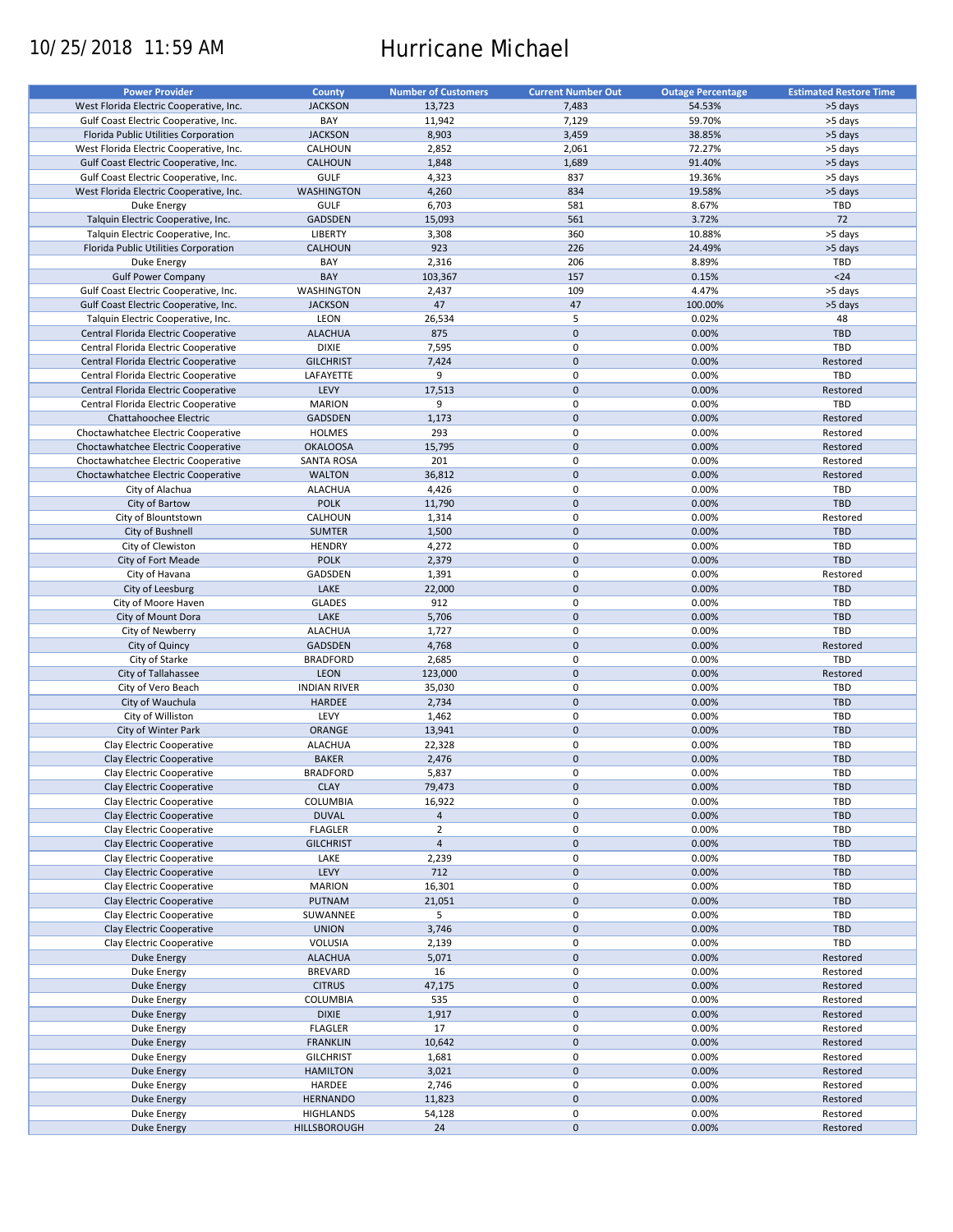# 10/25/2018 11:59 AM Hurricane Michael

| <b>Power Provider</b>                   | <b>County</b>       | <b>Number of Customers</b> | <b>Current Number Out</b> |                          | <b>Estimated Restore Time</b> |
|-----------------------------------------|---------------------|----------------------------|---------------------------|--------------------------|-------------------------------|
|                                         |                     |                            |                           | <b>Outage Percentage</b> |                               |
| West Florida Electric Cooperative, Inc. | <b>JACKSON</b>      | 13,723                     | 7,483                     | 54.53%                   | >5 days                       |
| Gulf Coast Electric Cooperative, Inc.   | BAY                 | 11,942                     | 7,129                     | 59.70%                   | >5 days                       |
| Florida Public Utilities Corporation    | <b>JACKSON</b>      | 8,903                      | 3,459                     | 38.85%                   | >5 days                       |
| West Florida Electric Cooperative, Inc. | CALHOUN             | 2,852                      | 2,061                     | 72.27%                   | >5 days                       |
| Gulf Coast Electric Cooperative, Inc.   | <b>CALHOUN</b>      | 1,848                      | 1,689                     | 91.40%                   | >5 days                       |
|                                         |                     |                            | 837                       |                          |                               |
| Gulf Coast Electric Cooperative, Inc.   | GULF                | 4,323                      |                           | 19.36%                   | >5 days                       |
| West Florida Electric Cooperative, Inc. | <b>WASHINGTON</b>   | 4,260                      | 834                       | 19.58%                   | >5 days                       |
| Duke Energy                             | <b>GULF</b>         | 6,703                      | 581                       | 8.67%                    | TBD                           |
| Talquin Electric Cooperative, Inc.      | GADSDEN             | 15,093                     | 561                       | 3.72%                    | 72                            |
| Talquin Electric Cooperative, Inc.      | <b>LIBERTY</b>      | 3,308                      | 360                       | 10.88%                   | >5 days                       |
| Florida Public Utilities Corporation    | <b>CALHOUN</b>      | 923                        | 226                       | 24.49%                   | >5 days                       |
| Duke Energy                             | BAY                 | 2,316                      | 206                       | 8.89%                    | TBD                           |
|                                         | BAY                 | 103,367                    | 157                       | 0.15%                    | $24$                          |
| <b>Gulf Power Company</b>               |                     |                            |                           |                          |                               |
| Gulf Coast Electric Cooperative, Inc.   | WASHINGTON          | 2,437                      | 109                       | 4.47%                    | >5 days                       |
| Gulf Coast Electric Cooperative, Inc.   | <b>JACKSON</b>      | 47                         | 47                        | 100.00%                  | >5 days                       |
| Talquin Electric Cooperative, Inc.      | LEON                | 26,534                     | 5                         | 0.02%                    | 48                            |
| Central Florida Electric Cooperative    | <b>ALACHUA</b>      | 875                        | $\mathbf 0$               | 0.00%                    | <b>TBD</b>                    |
| Central Florida Electric Cooperative    | <b>DIXIE</b>        | 7,595                      | $\pmb{0}$                 | 0.00%                    | <b>TBD</b>                    |
| Central Florida Electric Cooperative    | <b>GILCHRIST</b>    | 7,424                      | $\mathbf 0$               | 0.00%                    | Restored                      |
|                                         |                     |                            |                           |                          | TBD                           |
| Central Florida Electric Cooperative    | LAFAYETTE           | 9                          | $\pmb{0}$                 | 0.00%                    |                               |
| Central Florida Electric Cooperative    | LEVY                | 17,513                     | $\mathbf 0$               | 0.00%                    | Restored                      |
| Central Florida Electric Cooperative    | <b>MARION</b>       | 9                          | $\mathbf 0$               | 0.00%                    | TBD                           |
| Chattahoochee Electric                  | <b>GADSDEN</b>      | 1,173                      | $\mathbf 0$               | 0.00%                    | Restored                      |
| Choctawhatchee Electric Cooperative     | <b>HOLMES</b>       | 293                        | $\mathbf 0$               | 0.00%                    | Restored                      |
| Choctawhatchee Electric Cooperative     | <b>OKALOOSA</b>     | 15,795                     | $\mathbf 0$               | 0.00%                    | Restored                      |
| Choctawhatchee Electric Cooperative     | <b>SANTA ROSA</b>   | 201                        | $\pmb{0}$                 | 0.00%                    | Restored                      |
| Choctawhatchee Electric Cooperative     | <b>WALTON</b>       | 36,812                     | $\mathbf 0$               | 0.00%                    | Restored                      |
|                                         |                     |                            |                           |                          |                               |
| City of Alachua                         | <b>ALACHUA</b>      | 4,426                      | $\pmb{0}$                 | 0.00%                    | TBD                           |
| City of Bartow                          | <b>POLK</b>         | 11,790                     | $\mathbf 0$               | 0.00%                    | <b>TBD</b>                    |
| City of Blountstown                     | CALHOUN             | 1,314                      | $\pmb{0}$                 | 0.00%                    | Restored                      |
| City of Bushnell                        | <b>SUMTER</b>       | 1,500                      | $\mathbf 0$               | 0.00%                    | <b>TBD</b>                    |
| City of Clewiston                       | <b>HENDRY</b>       | 4,272                      | 0                         | 0.00%                    | TBD                           |
| City of Fort Meade                      | <b>POLK</b>         | 2,379                      | $\mathbf 0$               | 0.00%                    | <b>TBD</b>                    |
| City of Havana                          | GADSDEN             | 1,391                      | $\pmb{0}$                 | 0.00%                    | Restored                      |
| City of Leesburg                        | LAKE                | 22,000                     | $\mathbf 0$               | 0.00%                    | <b>TBD</b>                    |
|                                         |                     |                            | $\pmb{0}$                 |                          |                               |
| City of Moore Haven                     | <b>GLADES</b>       | 912                        |                           | 0.00%                    | TBD                           |
| City of Mount Dora                      | LAKE                | 5,706                      | $\mathbf 0$               | 0.00%                    | TBD                           |
| City of Newberry                        | <b>ALACHUA</b>      | 1,727                      | $\pmb{0}$                 | 0.00%                    | TBD                           |
| City of Quincy                          | <b>GADSDEN</b>      | 4,768                      | $\mathbf 0$               | 0.00%                    | Restored                      |
| City of Starke                          | <b>BRADFORD</b>     | 2,685                      | $\pmb{0}$                 | 0.00%                    | TBD                           |
| City of Tallahassee                     | <b>LEON</b>         | 123,000                    | $\mathbf 0$               | 0.00%                    | Restored                      |
| City of Vero Beach                      | <b>INDIAN RIVER</b> | 35,030                     | $\pmb{0}$                 | 0.00%                    | <b>TBD</b>                    |
| City of Wauchula                        | <b>HARDEE</b>       | 2,734                      | $\mathbf 0$               | 0.00%                    | <b>TBD</b>                    |
|                                         |                     |                            |                           |                          |                               |
| City of Williston                       | LEVY                | 1,462                      | 0                         | 0.00%                    | <b>TBD</b>                    |
| City of Winter Park                     | <b>ORANGE</b>       | 13,941                     | $\mathbf 0$               | 0.00%                    | <b>TBD</b>                    |
| Clay Electric Cooperative               | <b>ALACHUA</b>      | 22,328                     | $\pmb{0}$                 | 0.00%                    | <b>TBD</b>                    |
| Clay Electric Cooperative               | <b>BAKER</b>        | 2,476                      | $\mathbf 0$               | 0.00%                    | <b>TBD</b>                    |
| Clay Electric Cooperative               | <b>BRADFORD</b>     | 5,837                      | $\mathbf 0$               | 0.00%                    | TBD                           |
| Clay Electric Cooperative               | <b>CLAY</b>         | 79,473                     | $\pmb{0}$                 | 0.00%                    | <b>TBD</b>                    |
| Clay Electric Cooperative               | <b>COLUMBIA</b>     | 16,922                     | 0                         | 0.00%                    | TBD                           |
| Clay Electric Cooperative               | <b>DUVAL</b>        | $\overline{4}$             | $\pmb{0}$                 | 0.00%                    | TBD                           |
|                                         |                     |                            |                           |                          |                               |
| Clay Electric Cooperative               | <b>FLAGLER</b>      | $\overline{2}$             | 0                         | 0.00%                    | TBD                           |
| Clay Electric Cooperative               | <b>GILCHRIST</b>    | $\overline{4}$             | $\mathsf{O}\xspace$       | 0.00%                    | <b>TBD</b>                    |
| Clay Electric Cooperative               | LAKE                | 2,239                      | 0                         | 0.00%                    | TBD                           |
| Clay Electric Cooperative               | LEVY                | 712                        | $\mathsf{O}\xspace$       | 0.00%                    | <b>TBD</b>                    |
| Clay Electric Cooperative               | <b>MARION</b>       | 16,301                     | 0                         | 0.00%                    | TBD                           |
| Clay Electric Cooperative               | PUTNAM              | 21,051                     | $\pmb{0}$                 | 0.00%                    | <b>TBD</b>                    |
| Clay Electric Cooperative               | SUWANNEE            | 5                          | 0                         | 0.00%                    | TBD                           |
|                                         |                     |                            |                           |                          |                               |
| Clay Electric Cooperative               | <b>UNION</b>        | 3,746                      | $\pmb{0}$                 | 0.00%                    | <b>TBD</b>                    |
| Clay Electric Cooperative               | VOLUSIA             | 2,139                      | 0                         | 0.00%                    | TBD                           |
| Duke Energy                             | <b>ALACHUA</b>      | 5,071                      | $\pmb{0}$                 | 0.00%                    | Restored                      |
| Duke Energy                             | <b>BREVARD</b>      | 16                         | $\pmb{0}$                 | 0.00%                    | Restored                      |
| Duke Energy                             | <b>CITRUS</b>       | 47,175                     | $\pmb{0}$                 | 0.00%                    | Restored                      |
| Duke Energy                             | COLUMBIA            | 535                        | $\pmb{0}$                 | 0.00%                    | Restored                      |
| Duke Energy                             | <b>DIXIE</b>        | 1,917                      | $\pmb{0}$                 | 0.00%                    | Restored                      |
| Duke Energy                             | <b>FLAGLER</b>      | 17                         | 0                         | 0.00%                    | Restored                      |
| <b>Duke Energy</b>                      |                     | 10,642                     | $\pmb{0}$                 | 0.00%                    | Restored                      |
|                                         | <b>FRANKLIN</b>     |                            |                           |                          |                               |
| Duke Energy                             | <b>GILCHRIST</b>    | 1,681                      | $\pmb{0}$                 | 0.00%                    | Restored                      |
| Duke Energy                             | <b>HAMILTON</b>     | 3,021                      | $\pmb{0}$                 | 0.00%                    | Restored                      |
| Duke Energy                             | HARDEE              | 2,746                      | 0                         | 0.00%                    | Restored                      |
| <b>Duke Energy</b>                      | <b>HERNANDO</b>     | 11,823                     | $\pmb{0}$                 | 0.00%                    | Restored                      |
| Duke Energy                             | <b>HIGHLANDS</b>    | 54,128                     | 0                         | 0.00%                    | Restored                      |
| Duke Energy                             | HILLSBOROUGH        | 24                         | $\pmb{0}$                 | 0.00%                    | Restored                      |
|                                         |                     |                            |                           |                          |                               |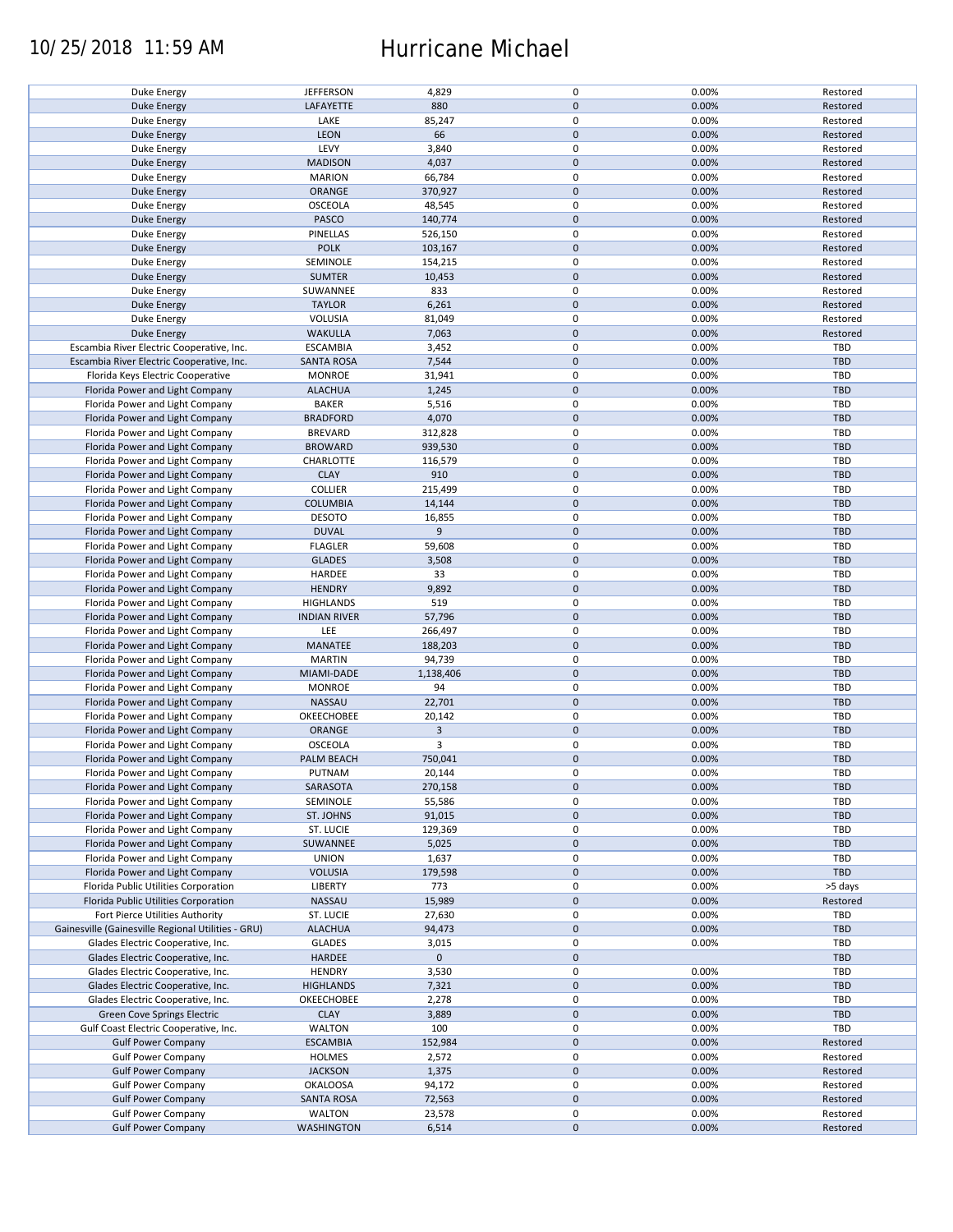### 10/25/2018 11:59 AM Hurricane Michael

| Duke Energy                                        | <b>JEFFERSON</b>    | 4,829          | $\mathbf 0$ | 0.00% | Restored   |
|----------------------------------------------------|---------------------|----------------|-------------|-------|------------|
| <b>Duke Energy</b>                                 | LAFAYETTE           | 880            | $\mathbf 0$ | 0.00% | Restored   |
| Duke Energy                                        | LAKE                | 85,247         | 0           | 0.00% | Restored   |
|                                                    | <b>LEON</b>         | 66             | $\mathbf 0$ | 0.00% |            |
| <b>Duke Energy</b>                                 |                     |                |             |       | Restored   |
| Duke Energy                                        | LEVY                | 3,840          | 0           | 0.00% | Restored   |
| <b>Duke Energy</b>                                 | <b>MADISON</b>      | 4,037          | $\mathbf 0$ | 0.00% | Restored   |
| Duke Energy                                        | <b>MARION</b>       | 66,784         | $\mathbf 0$ | 0.00% | Restored   |
|                                                    |                     |                | $\mathbf 0$ |       |            |
| <b>Duke Energy</b>                                 | ORANGE              | 370,927        |             | 0.00% | Restored   |
| Duke Energy                                        | <b>OSCEOLA</b>      | 48,545         | 0           | 0.00% | Restored   |
| Duke Energy                                        | PASCO               | 140,774        | $\mathbf 0$ | 0.00% | Restored   |
| Duke Energy                                        | PINELLAS            | 526,150        | 0           | 0.00% | Restored   |
|                                                    |                     |                |             |       |            |
| Duke Energy                                        | <b>POLK</b>         | 103,167        | $\mathbf 0$ | 0.00% | Restored   |
| Duke Energy                                        | SEMINOLE            | 154,215        | $\mathbf 0$ | 0.00% | Restored   |
| Duke Energy                                        | <b>SUMTER</b>       | 10,453         | $\mathbf 0$ | 0.00% | Restored   |
| Duke Energy                                        | SUWANNEE            | 833            | $\pmb{0}$   | 0.00% | Restored   |
|                                                    |                     |                |             |       |            |
| <b>Duke Energy</b>                                 | <b>TAYLOR</b>       | 6,261          | $\mathbf 0$ | 0.00% | Restored   |
| Duke Energy                                        | VOLUSIA             | 81,049         | $\pmb{0}$   | 0.00% | Restored   |
| <b>Duke Energy</b>                                 | <b>WAKULLA</b>      | 7,063          | $\mathbf 0$ | 0.00% | Restored   |
|                                                    |                     |                | $\pmb{0}$   | 0.00% | <b>TBD</b> |
| Escambia River Electric Cooperative, Inc.          | <b>ESCAMBIA</b>     | 3,452          |             |       |            |
| Escambia River Electric Cooperative, Inc.          | <b>SANTA ROSA</b>   | 7,544          | $\mathbf 0$ | 0.00% | TBD        |
| Florida Keys Electric Cooperative                  | <b>MONROE</b>       | 31,941         | $\pmb{0}$   | 0.00% | <b>TBD</b> |
| Florida Power and Light Company                    | <b>ALACHUA</b>      | 1,245          | $\mathbf 0$ | 0.00% | <b>TBD</b> |
|                                                    |                     |                | $\pmb{0}$   |       |            |
| Florida Power and Light Company                    | <b>BAKER</b>        | 5,516          |             | 0.00% | <b>TBD</b> |
| Florida Power and Light Company                    | <b>BRADFORD</b>     | 4,070          | $\mathbf 0$ | 0.00% | <b>TBD</b> |
| Florida Power and Light Company                    | <b>BREVARD</b>      | 312,828        | $\mathbf 0$ | 0.00% | <b>TBD</b> |
| Florida Power and Light Company                    | <b>BROWARD</b>      | 939,530        | $\pmb{0}$   | 0.00% | <b>TBD</b> |
|                                                    |                     |                |             |       |            |
| Florida Power and Light Company                    | CHARLOTTE           | 116,579        | $\mathbf 0$ | 0.00% | TBD        |
| Florida Power and Light Company                    | <b>CLAY</b>         | 910            | $\mathbf 0$ | 0.00% | <b>TBD</b> |
| Florida Power and Light Company                    | <b>COLLIER</b>      | 215,499        | $\mathbf 0$ | 0.00% | TBD        |
|                                                    |                     |                |             |       |            |
| Florida Power and Light Company                    | <b>COLUMBIA</b>     | 14,144         | $\pmb{0}$   | 0.00% | <b>TBD</b> |
| Florida Power and Light Company                    | <b>DESOTO</b>       | 16,855         | $\mathbf 0$ | 0.00% | <b>TBD</b> |
| Florida Power and Light Company                    | <b>DUVAL</b>        | 9              | $\pmb{0}$   | 0.00% | <b>TBD</b> |
| Florida Power and Light Company                    | <b>FLAGLER</b>      | 59,608         | 0           | 0.00% | TBD        |
|                                                    |                     |                |             |       |            |
| Florida Power and Light Company                    | <b>GLADES</b>       | 3,508          | $\mathbf 0$ | 0.00% | <b>TBD</b> |
| Florida Power and Light Company                    | HARDEE              | 33             | 0           | 0.00% | TBD        |
| Florida Power and Light Company                    | <b>HENDRY</b>       | 9,892          | $\pmb{0}$   | 0.00% | <b>TBD</b> |
| Florida Power and Light Company                    | <b>HIGHLANDS</b>    | 519            | $\pmb{0}$   | 0.00% | TBD        |
|                                                    |                     |                |             |       |            |
| Florida Power and Light Company                    | <b>INDIAN RIVER</b> | 57,796         | $\pmb{0}$   | 0.00% | <b>TBD</b> |
| Florida Power and Light Company                    | LEE                 | 266,497        | $\pmb{0}$   | 0.00% | <b>TBD</b> |
| Florida Power and Light Company                    | MANATEE             | 188,203        | $\mathbf 0$ | 0.00% | <b>TBD</b> |
| Florida Power and Light Company                    | <b>MARTIN</b>       | 94,739         | $\pmb{0}$   | 0.00% | TBD        |
|                                                    |                     |                |             |       |            |
| Florida Power and Light Company                    | MIAMI-DADE          | 1,138,406      | $\pmb{0}$   | 0.00% | <b>TBD</b> |
| Florida Power and Light Company                    | <b>MONROE</b>       | 94             | $\pmb{0}$   | 0.00% | TBD        |
| Florida Power and Light Company                    | NASSAU              | 22,701         | $\mathbf 0$ | 0.00% | <b>TBD</b> |
|                                                    |                     |                | $\mathbf 0$ |       |            |
| Florida Power and Light Company                    | OKEECHOBEE          | 20,142         |             | 0.00% | TBD        |
| Florida Power and Light Company                    | ORANGE              | $\overline{3}$ | $\mathbf 0$ | 0.00% | <b>TBD</b> |
| Florida Power and Light Company                    | OSCEOLA             | 3              | 0           | 0.00% | <b>TBD</b> |
| Florida Power and Light Company                    | PALM BEACH          | 750,041        | $\mathbf 0$ | 0.00% | <b>TBD</b> |
|                                                    |                     |                |             |       |            |
| Florida Power and Light Company                    | PUTNAM              | 20,144         | $\mathbf 0$ | 0.00% | TBD        |
| Florida Power and Light Company                    | SARASOTA            | 270,158        | $\pmb{0}$   | 0.00% | TBD        |
| Florida Power and Light Company                    | SEMINOLE            | 55,586         | 0           | 0.00% | TBD        |
| Florida Power and Light Company                    | ST. JOHNS           | 91,015         | $\mathbf 0$ | 0.00% | <b>TBD</b> |
|                                                    |                     |                |             |       |            |
| Florida Power and Light Company                    | ST. LUCIE           | 129,369        | 0           | 0.00% | TBD        |
| Florida Power and Light Company                    | SUWANNEE            | 5,025          | $\pmb{0}$   | 0.00% | <b>TBD</b> |
| Florida Power and Light Company                    | <b>UNION</b>        | 1,637          | 0           | 0.00% | TBD        |
| Florida Power and Light Company                    | <b>VOLUSIA</b>      | 179,598        | $\pmb{0}$   | 0.00% | TBD        |
|                                                    |                     |                |             |       |            |
| Florida Public Utilities Corporation               | <b>LIBERTY</b>      | 773            | 0           | 0.00% | >5 days    |
| Florida Public Utilities Corporation               | NASSAU              | 15,989         | $\mathbf 0$ | 0.00% | Restored   |
| Fort Pierce Utilities Authority                    | ST. LUCIE           | 27,630         | 0           | 0.00% | TBD        |
| Gainesville (Gainesville Regional Utilities - GRU) | <b>ALACHUA</b>      | 94,473         | $\pmb{0}$   | 0.00% | <b>TBD</b> |
|                                                    |                     |                |             |       |            |
| Glades Electric Cooperative, Inc.                  | <b>GLADES</b>       | 3,015          | 0           | 0.00% | TBD        |
| Glades Electric Cooperative, Inc.                  | <b>HARDEE</b>       | $\mathbf 0$    | $\pmb{0}$   |       | <b>TBD</b> |
| Glades Electric Cooperative, Inc.                  | <b>HENDRY</b>       | 3,530          | $\pmb{0}$   | 0.00% | TBD        |
| Glades Electric Cooperative, Inc.                  | <b>HIGHLANDS</b>    | 7,321          | $\pmb{0}$   | 0.00% | <b>TBD</b> |
|                                                    |                     |                |             |       |            |
| Glades Electric Cooperative, Inc.                  | OKEECHOBEE          | 2,278          | 0           | 0.00% | TBD        |
| Green Cove Springs Electric                        | <b>CLAY</b>         | 3,889          | $\pmb{0}$   | 0.00% | <b>TBD</b> |
| Gulf Coast Electric Cooperative, Inc.              | <b>WALTON</b>       | 100            | 0           | 0.00% | TBD        |
| <b>Gulf Power Company</b>                          | <b>ESCAMBIA</b>     | 152,984        | $\pmb{0}$   | 0.00% | Restored   |
|                                                    |                     |                |             |       |            |
| <b>Gulf Power Company</b>                          | HOLMES              | 2,572          | 0           | 0.00% | Restored   |
| <b>Gulf Power Company</b>                          | <b>JACKSON</b>      | 1,375          | $\pmb{0}$   | 0.00% | Restored   |
| <b>Gulf Power Company</b>                          | <b>OKALOOSA</b>     | 94,172         | 0           | 0.00% | Restored   |
|                                                    |                     |                | $\mathbf 0$ |       |            |
| <b>Gulf Power Company</b>                          | <b>SANTA ROSA</b>   | 72,563         |             | 0.00% | Restored   |
| <b>Gulf Power Company</b>                          | <b>WALTON</b>       | 23,578         | 0           | 0.00% | Restored   |
| <b>Gulf Power Company</b>                          | <b>WASHINGTON</b>   | 6,514          | $\pmb{0}$   | 0.00% | Restored   |
|                                                    |                     |                |             |       |            |